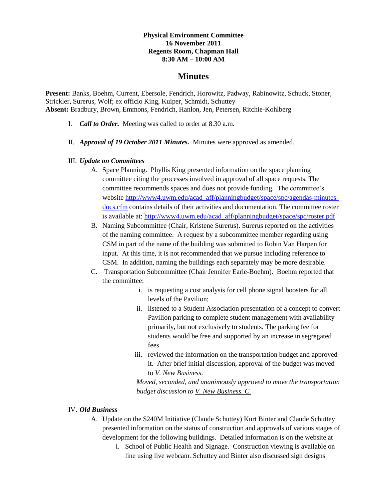#### **Physical Environment Committee 16 November 2011 Regents Room, Chapman Hall 8:30 AM – 10:00 AM**

## **Minutes**

**Present:** Banks, Boehm, Current, Ebersole, Fendrich, Horowitz, Padway, Rabinowitz, Schuck, Stoner, Strickler, Surerus, Wolf; ex officio King, Kuiper, Schmidt, Schuttey **Absent:** Bradbury, Brown, Emmons, Fendrich, Hanlon, Jen, Petersen, Ritchie-Kohlberg

- I. *Call to Order.* Meeting was called to order at 8.30 a.m.
- II. *Approval of 19 October 2011 Minutes.* Minutes were approved as amended.
- III. *Update on Committees*
	- A. Space Planning. Phyllis King presented information on the space planning committee citing the processes involved in approval of all space requests. The committee recommends spaces and does not provide funding. The committee's website [http://www4.uwm.edu/acad\\_aff/planningbudget/space/spc/agendas-minutes](http://www4.uwm.edu/acad_aff/planningbudget/space/spc/agendas-minutes-docs.cfm)[docs.cfm](http://www4.uwm.edu/acad_aff/planningbudget/space/spc/agendas-minutes-docs.cfm) contains details of their activities and documentation. The committee roster is available at: [http://www4.uwm.edu/acad\\_aff/planningbudget/space/spc/roster.pdf](http://www4.uwm.edu/acad_aff/planningbudget/space/spc/roster.pdf)
	- B. Naming Subcommittee (Chair, Kristene Surerus). Surerus reported on the activities of the naming committee. A request by a subcommittee member regarding using CSM in part of the name of the building was submitted to Robin Van Harpen for input. At this time, it is not recommended that we pursue including reference to CSM. In addition, naming the buildings each separately may be more desirable.
	- C. Transportation Subcommittee (Chair Jennifer Earle-Boehm). Boehm reported that the committee:
		- i. is requesting a cost analysis for cell phone signal boosters for all levels of the Pavilion;
		- ii. listened to a Student Association presentation of a concept to convert Pavilion parking to complete student management with availability primarily, but not exclusively to students. The parking fee for students would be free and supported by an increase in segregated fees.
		- iii. reviewed the information on the transportation budget and approved it. After brief initial discussion, approval of the budget was moved to *V. New Business*.

*Moved, seconded, and unanimously approved to move the transportation budget discussion to V. New Business. C.*

### IV. *Old Business*

- A. Update on the \$240M Initiative (Claude Schuttey) Kurt Binter and Claude Schuttey presented information on the status of construction and approvals of various stages of development for the following buildings. Detailed information is on the website at
	- i. School of Public Health and Signage. Construction viewing is available on line using live webcam. Schuttey and Binter also discussed sign designs